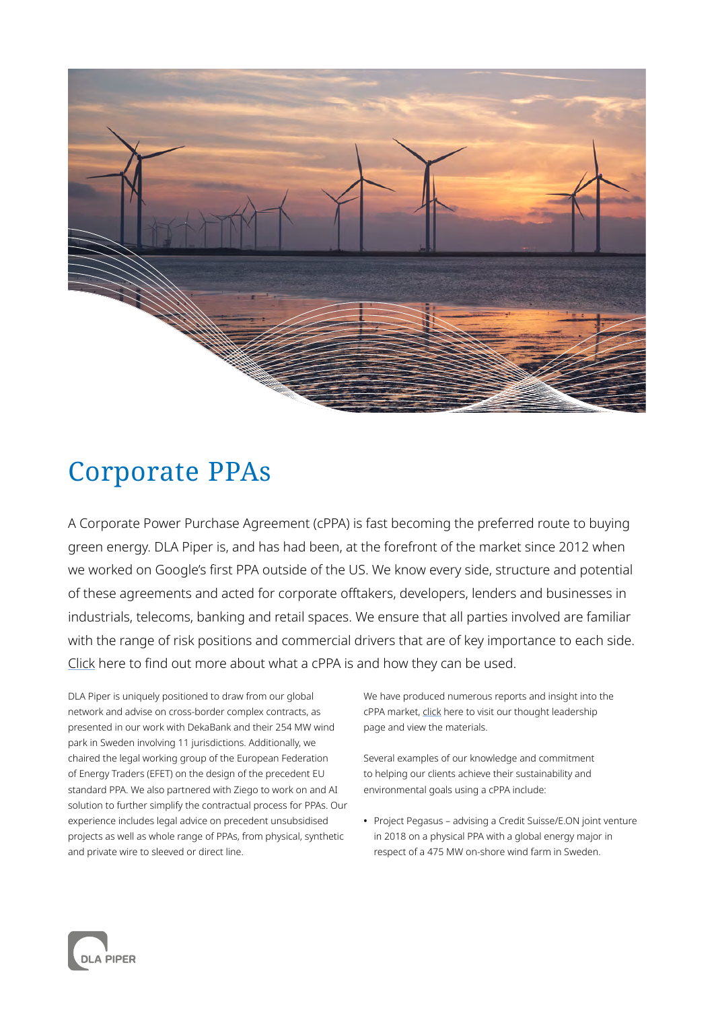

## Corporate PPAs

A Corporate Power Purchase Agreement (cPPA) is fast becoming the preferred route to buying green energy. DLA Piper is, and has had been, at the forefront of the market since 2012 when we worked on Google's first PPA outside of the US. We know every side, structure and potential of these agreements and acted for corporate offtakers, developers, lenders and businesses in industrials, telecoms, banking and retail spaces. We ensure that all parties involved are familiar with the range of risk positions and commercial drivers that are of key importance to each side. [Click](https://www.dlapiper.com/en/uk/insights/publications/2019/11/what-are-corporate-power-purchase-agreements-ppa/) here to find out more about what a cPPA is and how they can be used.

DLA Piper is uniquely positioned to draw from our global network and advise on cross-border complex contracts, as presented in our work with DekaBank and their 254 MW wind park in Sweden involving 11 jurisdictions. Additionally, we chaired the legal working group of the European Federation of Energy Traders (EFET) on the design of the precedent EU standard PPA. We also partnered with Ziego to work on and AI solution to further simplify the contractual process for PPAs. Our experience includes legal advice on precedent unsubsidised projects as well as whole range of PPAs, from physical, synthetic and private wire to sleeved or direct line.

We have produced numerous reports and insight into the cPPA market, [click](https://www.dlapiper.com/en/uk/sectors/energy/?tab=thought-leadership) here to visit our thought leadership page and view the materials.

Several examples of our knowledge and commitment to helping our clients achieve their sustainability and environmental goals using a cPPA include:

**•** Project Pegasus – advising a Credit Suisse/E.ON joint venture in 2018 on a physical PPA with a global energy major in respect of a 475 MW on-shore wind farm in Sweden.